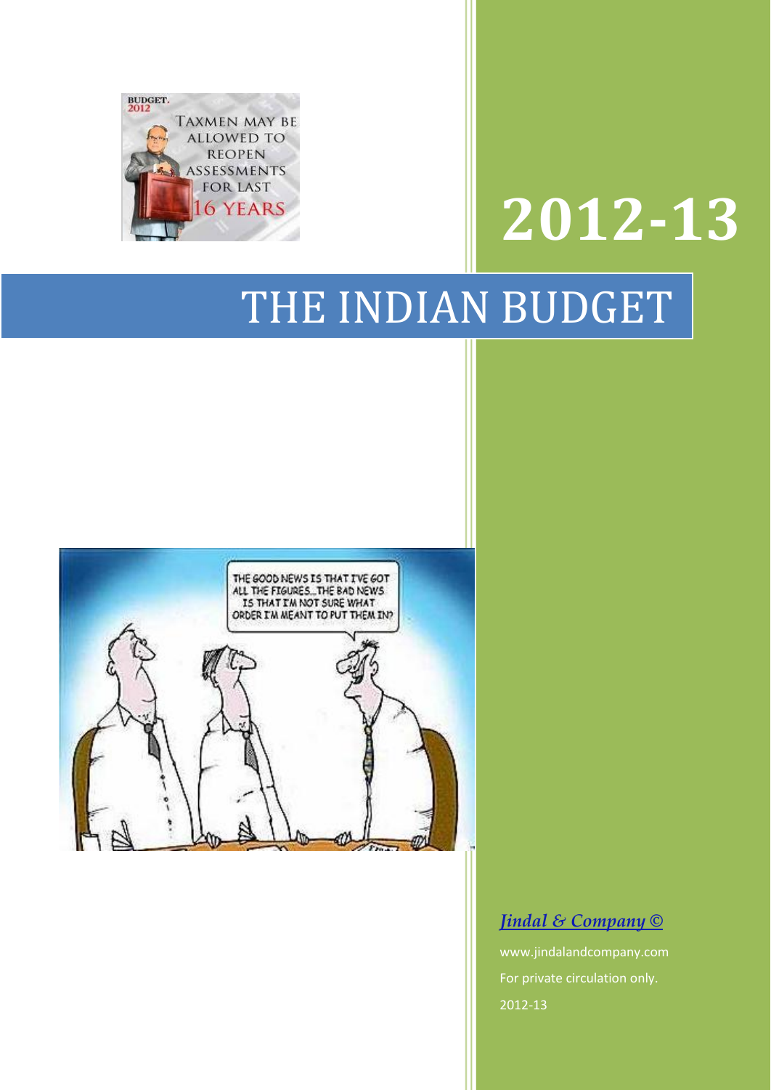

# **2012-13**

# THE INDIAN BUDGET



#### *Jindal & Company ©*

www.jindalandcompany.com For private circulation only. 2012-13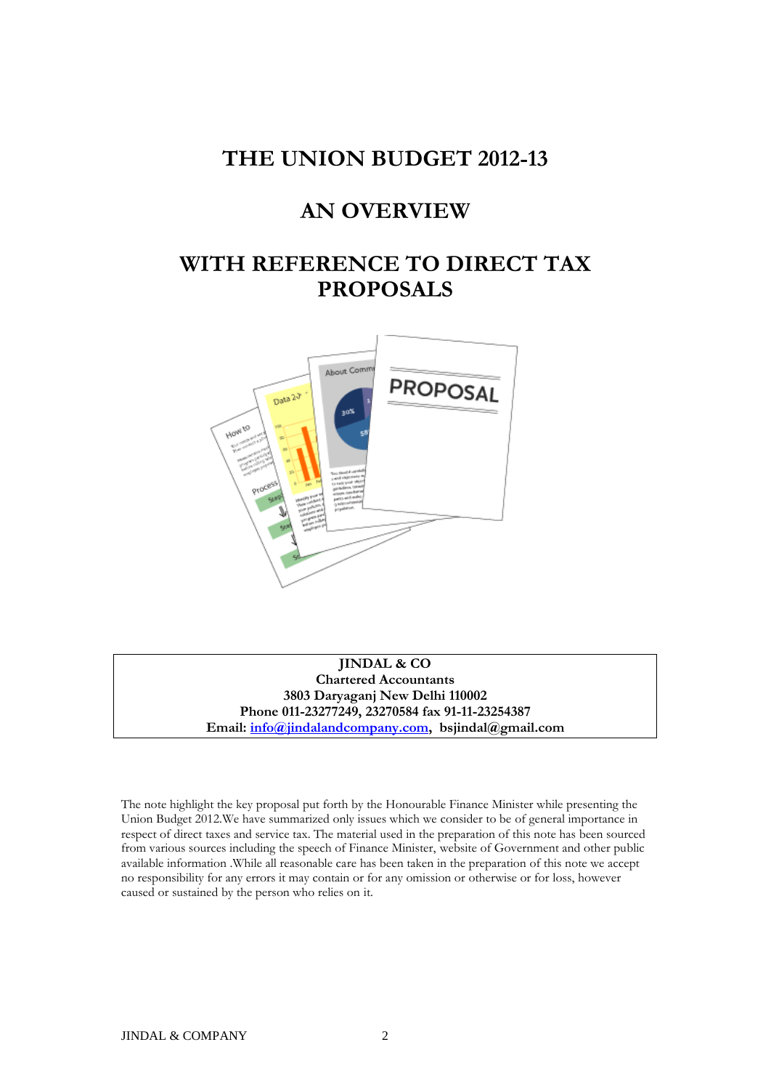#### **THE UNION BUDGET 2012-13**

#### **AN OVERVIEW**

#### **WITH REFERENCE TO DIRECT TAX PROPOSALS**



**JINDAL & CO Chartered Accountants 3803 Daryaganj New Delhi 110002 Phone 011-23277249, 23270584 fax 91-11-23254387 Email: [info@jindalandcompany.com,](mailto:info@jindalandcompany.com) bsjindal@gmail.com**

The note highlight the key proposal put forth by the Honourable Finance Minister while presenting the Union Budget 2012.We have summarized only issues which we consider to be of general importance in respect of direct taxes and service tax. The material used in the preparation of this note has been sourced from various sources including the speech of Finance Minister, website of Government and other public available information .While all reasonable care has been taken in the preparation of this note we accept no responsibility for any errors it may contain or for any omission or otherwise or for loss, however caused or sustained by the person who relies on it.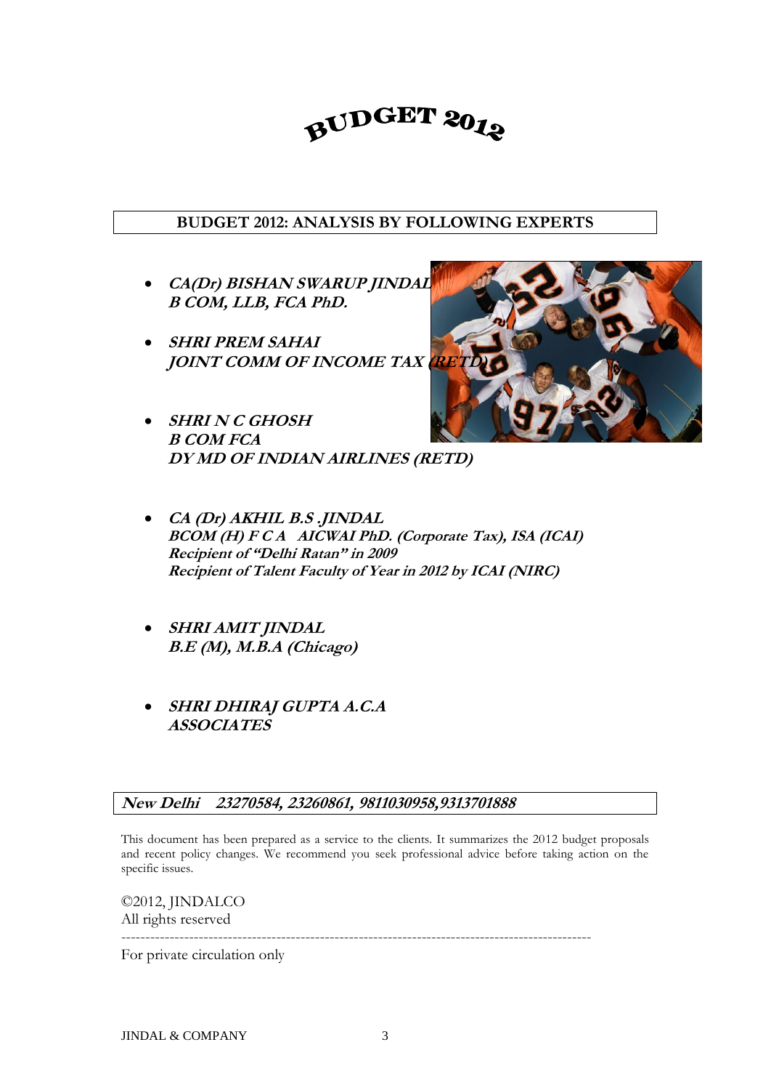### BUDGET 2012

#### **BUDGET 2012: ANALYSIS BY FOLLOWING EXPERTS**

- **CA(Dr) BISHAN SWARUP JINDAL B COM, LLB, FCA PhD.**
- **SHRI PREM SAHAI JOINT COMM OF INCOME TAX RE**
- **SHRI N C GHOSH B COM FCA DY MD OF INDIAN AIRLINES (RETD)**
- **CA (Dr) AKHIL B.S .JINDAL BCOM (H) F C A AICWAI PhD. (Corporate Tax), ISA (ICAI) Recipient of "Delhi Ratan" in 2009 Recipient of Talent Faculty of Year in 2012 by ICAI (NIRC)**
- **SHRI AMIT JINDAL B.E (M), M.B.A (Chicago)**
- **SHRI DHIRAJ GUPTA A.C.A ASSOCIATES**

#### **New Delhi 23270584, 23260861, 9811030958,9313701888**

This document has been prepared as a service to the clients. It summarizes the 2012 budget proposals and recent policy changes. We recommend you seek professional advice before taking action on the specific issues.

©2012, JINDALCO All rights reserved

------------------------------------------------------------------------------------------------- For private circulation only

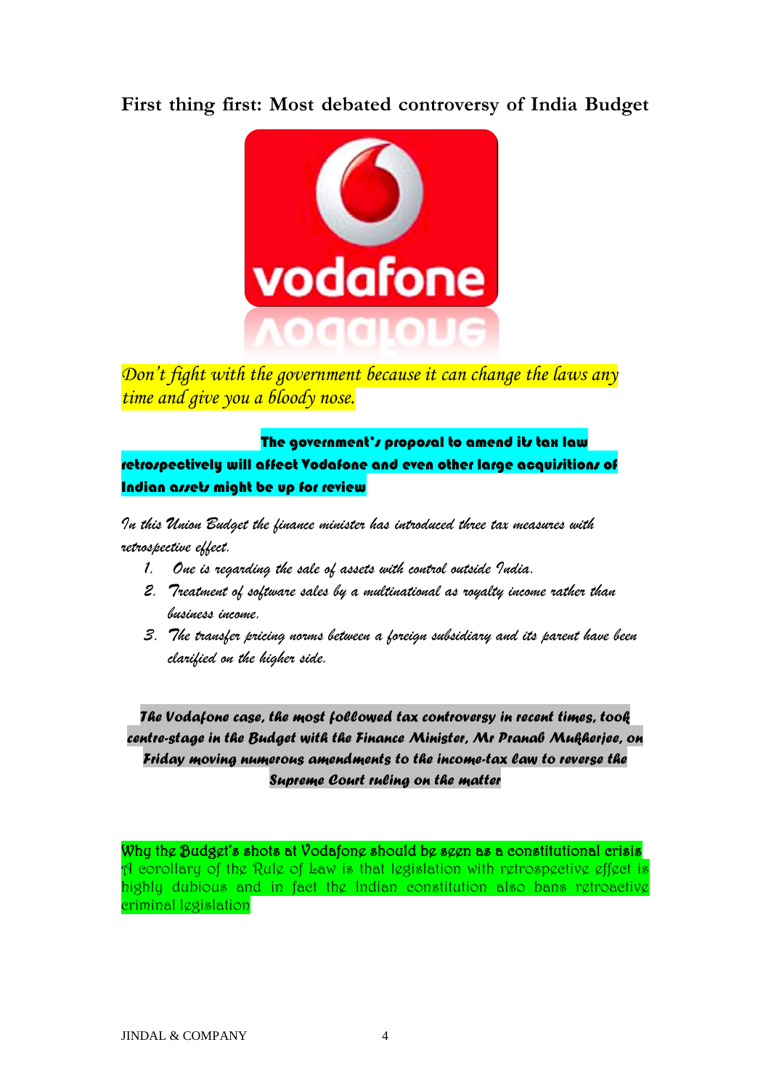#### **First thing first: Most debated controversy of India Budget**



*Don't fight with the government because it can change the laws any time and give you a bloody nose.*

The government's proposal to amend its tax law retrospectively will affect Vodafone and even other large acquisitions of Indian assets might be up for review

*In this Union Budget the finance minister has introduced three tax measures with retrospective effect.*

- *1. One is regarding the sale of assets with control outside India.*
- *2. Treatment of software sales by a multinational as royalty income rather than business income.*
- *3. The transfer pricing norms between a foreign subsidiary and its parent have been clarified on the higher side.*

*The Vodafone case, the most followed tax controversy in recent times, took centre-stage in the Budget with the Finance Minister, Mr Pranab Mukherjee, on Friday moving numerous amendments to the income-tax law to reverse the Supreme Court ruling on the matter*

Why the Budget's shots at Vodafone should be seen as a constitutional crisis A corollary of the Rule of Law is that legislation with retrospective effect is highly dubious and in fact the Indian constitution also bans retroactive criminal legislation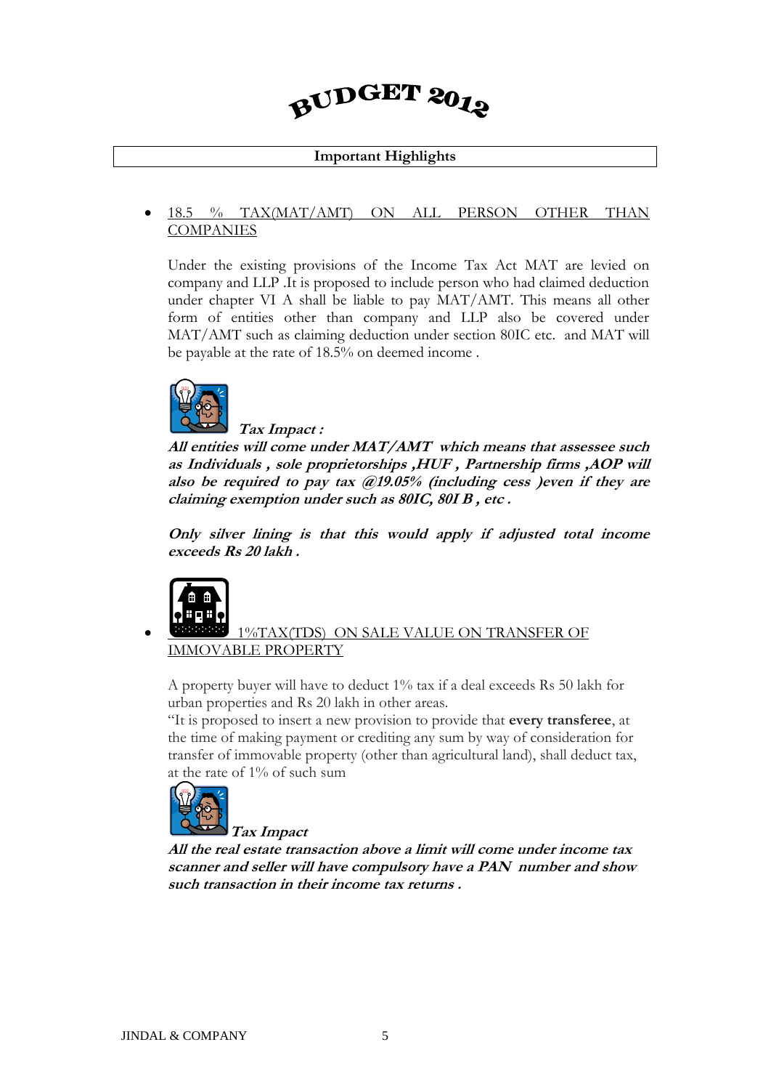## BUDGET 2012

#### **Important Highlights**

#### 18.5 % TAX(MAT/AMT) ON ALL PERSON OTHER THAN COMPANIES

Under the existing provisions of the Income Tax Act MAT are levied on company and LLP .It is proposed to include person who had claimed deduction under chapter VI A shall be liable to pay MAT/AMT. This means all other form of entities other than company and LLP also be covered under MAT/AMT such as claiming deduction under section 80IC etc. and MAT will be payable at the rate of 18.5% on deemed income .



#### **Tax Impact :**

**All entities will come under MAT/AMT which means that assessee such as Individuals , sole proprietorships ,HUF , Partnership firms ,AOP will also be required to pay tax @19.05% (including cess )even if they are claiming exemption under such as 80IC, 80I B , etc .**

**Only silver lining is that this would apply if adjusted total income exceeds Rs 20 lakh .**



#### 1%TAX(TDS) ON SALE VALUE ON TRANSFER OF IMMOVABLE PROPERTY

A property buyer will have to deduct 1% tax if a deal exceeds Rs 50 lakh for urban properties and Rs 20 lakh in other areas.

"It is proposed to insert a new provision to provide that **every transferee**, at the time of making payment or crediting any sum by way of consideration for transfer of immovable property (other than agricultural land), shall deduct tax, at the rate of 1% of such sum



**All the real estate transaction above a limit will come under income tax scanner and seller will have compulsory have a PAN number and show such transaction in their income tax returns .**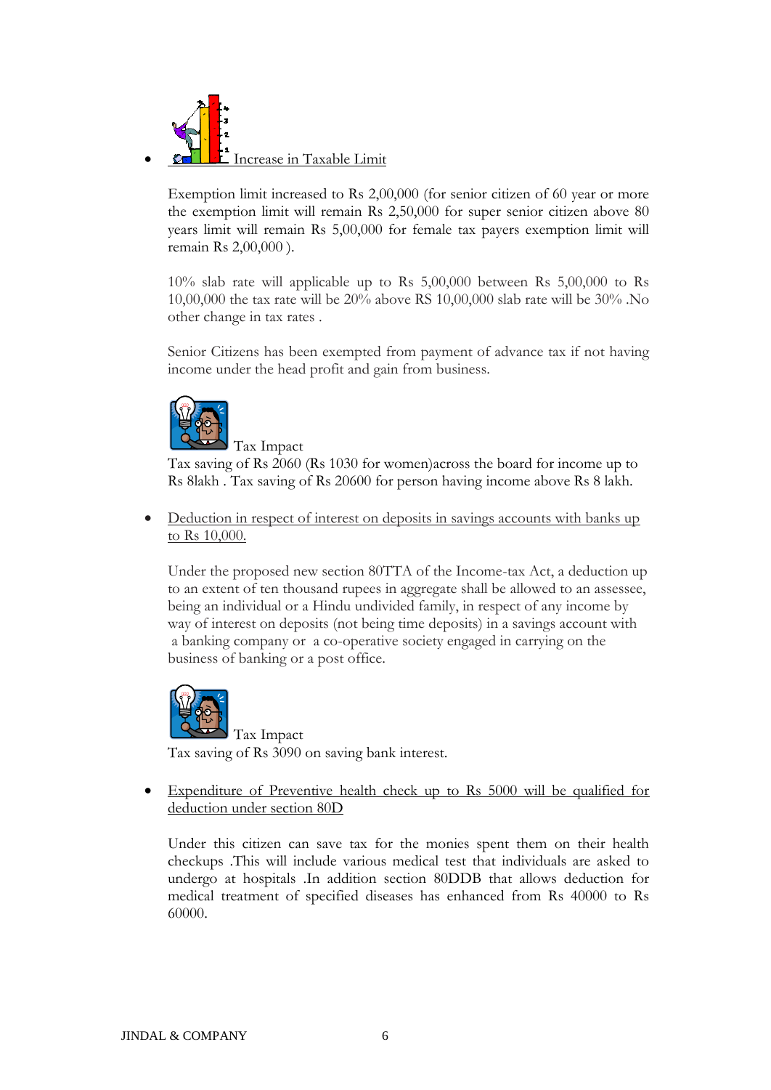

Exemption limit increased to Rs 2,00,000 (for senior citizen of 60 year or more the exemption limit will remain Rs 2,50,000 for super senior citizen above 80 years limit will remain Rs 5,00,000 for female tax payers exemption limit will remain Rs 2,00,000 ).

10% slab rate will applicable up to Rs 5,00,000 between Rs 5,00,000 to Rs 10,00,000 the tax rate will be 20% above RS 10,00,000 slab rate will be 30% .No other change in tax rates .

Senior Citizens has been exempted from payment of advance tax if not having income under the head profit and gain from business.



Tax Impact

Tax saving of Rs 2060 (Rs 1030 for women)across the board for income up to Rs 8lakh . Tax saving of Rs 20600 for person having income above Rs 8 lakh.

 Deduction in respect of interest on deposits in savings accounts with banks up to Rs 10,000.

Under the proposed new section 80TTA of the Income-tax Act, a deduction up to an extent of ten thousand rupees in aggregate shall be allowed to an assessee, being an individual or a Hindu undivided family, in respect of any income by way of interest on deposits (not being time deposits) in a savings account with a banking company or a co-operative society engaged in carrying on the business of banking or a post office.



Tax Impact Tax saving of Rs 3090 on saving bank interest.

 Expenditure of Preventive health check up to Rs 5000 will be qualified for deduction under section 80D

Under this citizen can save tax for the monies spent them on their health checkups .This will include various medical test that individuals are asked to undergo at hospitals .In addition section 80DDB that allows deduction for medical treatment of specified diseases has enhanced from Rs 40000 to Rs 60000.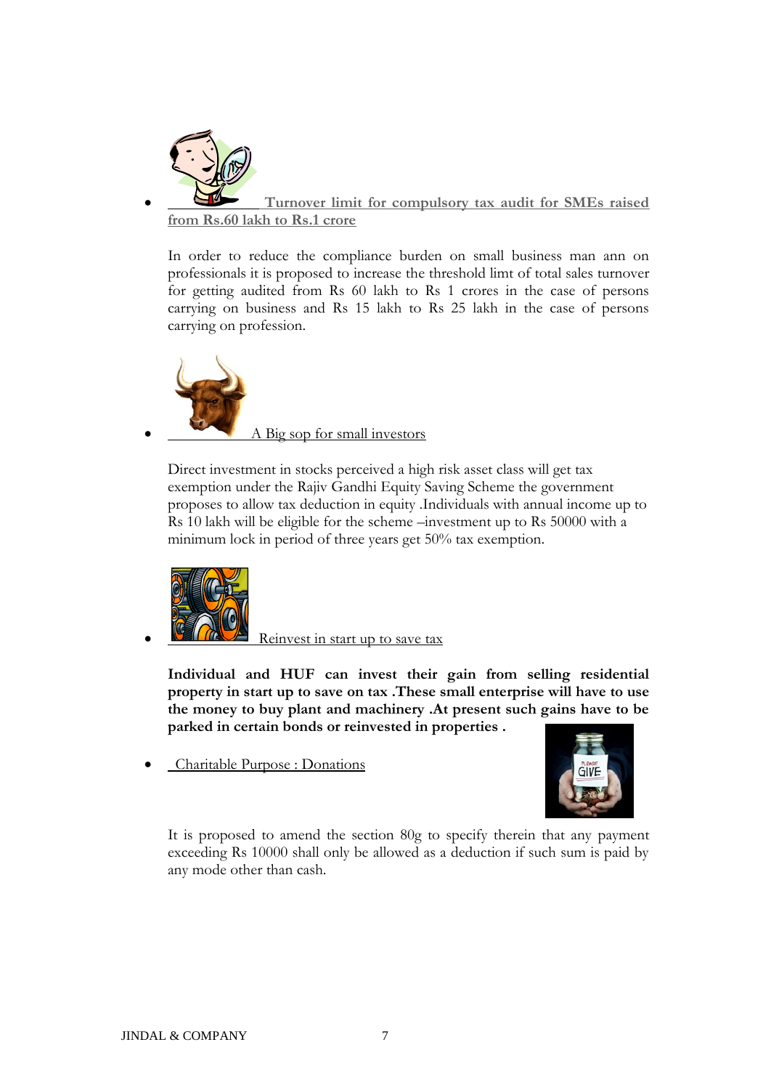

 **Turnover limit for compulsory tax audit for SMEs raised from Rs.60 lakh to Rs.1 crore** 

In order to reduce the compliance burden on small business man ann on professionals it is proposed to increase the threshold limt of total sales turnover for getting audited from Rs 60 lakh to Rs 1 crores in the case of persons carrying on business and Rs 15 lakh to Rs 25 lakh in the case of persons carrying on profession.



Direct investment in stocks perceived a high risk asset class will get tax exemption under the Rajiv Gandhi Equity Saving Scheme the government proposes to allow tax deduction in equity .Individuals with annual income up to Rs 10 lakh will be eligible for the scheme –investment up to Rs 50000 with a minimum lock in period of three years get 50% tax exemption.



Reinvest in start up to save tax

**Individual and HUF can invest their gain from selling residential property in start up to save on tax .These small enterprise will have to use the money to buy plant and machinery .At present such gains have to be parked in certain bonds or reinvested in properties .**

Charitable Purpose : Donations



It is proposed to amend the section 80g to specify therein that any payment exceeding Rs 10000 shall only be allowed as a deduction if such sum is paid by any mode other than cash.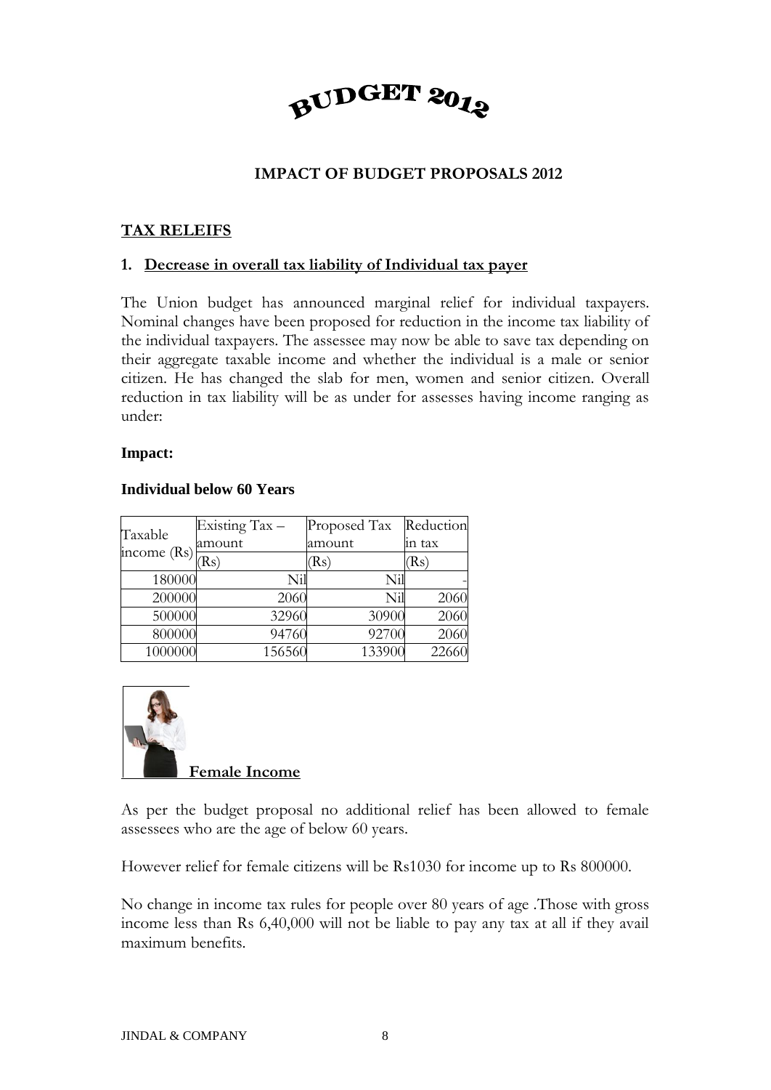

#### **IMPACT OF BUDGET PROPOSALS 2012**

#### **TAX RELEIFS**

#### **1. Decrease in overall tax liability of Individual tax payer**

The Union budget has announced marginal relief for individual taxpayers. Nominal changes have been proposed for reduction in the income tax liability of the individual taxpayers. The assessee may now be able to save tax depending on their aggregate taxable income and whether the individual is a male or senior citizen. He has changed the slab for men, women and senior citizen. Overall reduction in tax liability will be as under for assesses having income ranging as under:

#### **Impact:**

#### **Individual below 60 Years**

| Taxable<br>income $(Rs)$ | Existing Tax - | Proposed Tax | Reduction |
|--------------------------|----------------|--------------|-----------|
|                          | amount         | amount       | in tax    |
|                          | (Rs)           | (Rs)         | (Rs)      |
| 180000                   | Nil            | Nil          |           |
| 200000                   | 2060           | Nil          | 2060      |
| 500000                   | 32960          | 30900        | 2060      |
| 800000                   | 94760          | 92700        | 2060      |
| 1000000                  | 156560         | 133900       | 22660     |



As per the budget proposal no additional relief has been allowed to female assessees who are the age of below 60 years.

However relief for female citizens will be Rs1030 for income up to Rs 800000.

No change in income tax rules for people over 80 years of age .Those with gross income less than Rs 6,40,000 will not be liable to pay any tax at all if they avail maximum benefits.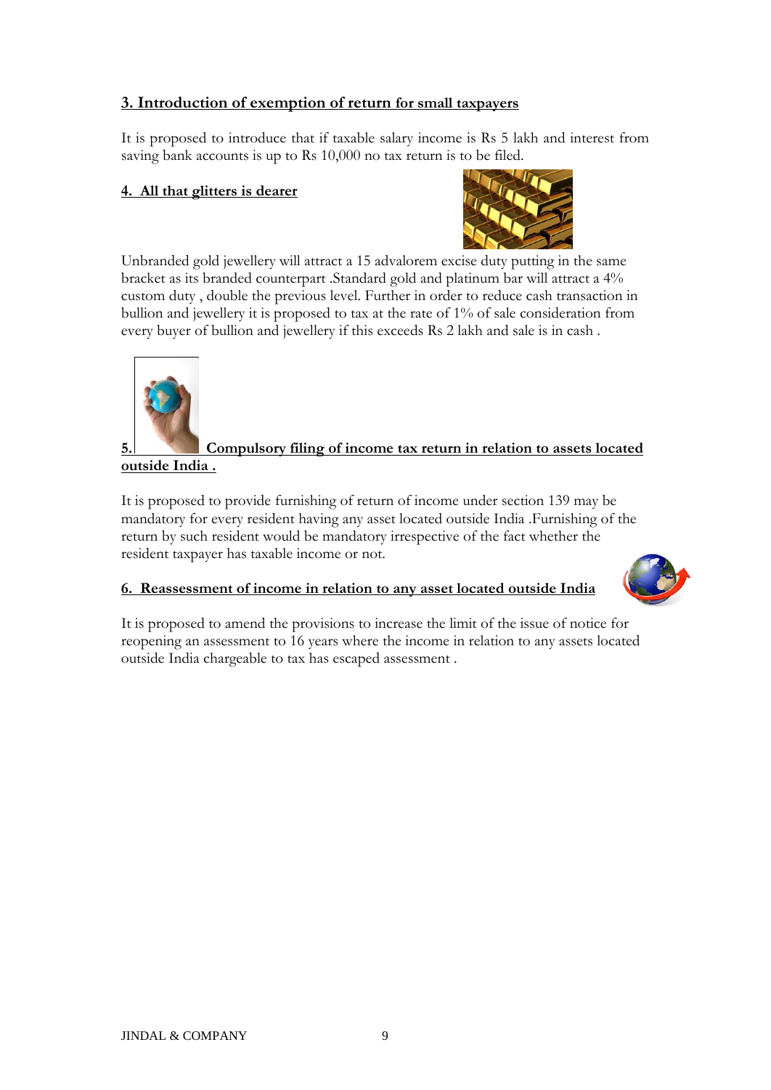#### **3. Introduction of exemption of return for small taxpayers**

It is proposed to introduce that if taxable salary income is Rs 5 lakh and interest from saving bank accounts is up to Rs 10,000 no tax return is to be filed.

#### **4. All that glitters is dearer**



Unbranded gold jewellery will attract a 15 advalorem excise duty putting in the same bracket as its branded counterpart .Standard gold and platinum bar will attract a 4% custom duty , double the previous level. Further in order to reduce cash transaction in bullion and jewellery it is proposed to tax at the rate of 1% of sale consideration from every buyer of bullion and jewellery if this exceeds Rs 2 lakh and sale is in cash .



#### **<u>5.** Compulsory filing of income tax return in relation to assets located</u> **outside India .**

It is proposed to provide furnishing of return of income under section 139 may be mandatory for every resident having any asset located outside India .Furnishing of the return by such resident would be mandatory irrespective of the fact whether the resident taxpayer has taxable income or not.

#### **6. Reassessment of income in relation to any asset located outside India**



It is proposed to amend the provisions to increase the limit of the issue of notice for reopening an assessment to 16 years where the income in relation to any assets located outside India chargeable to tax has escaped assessment .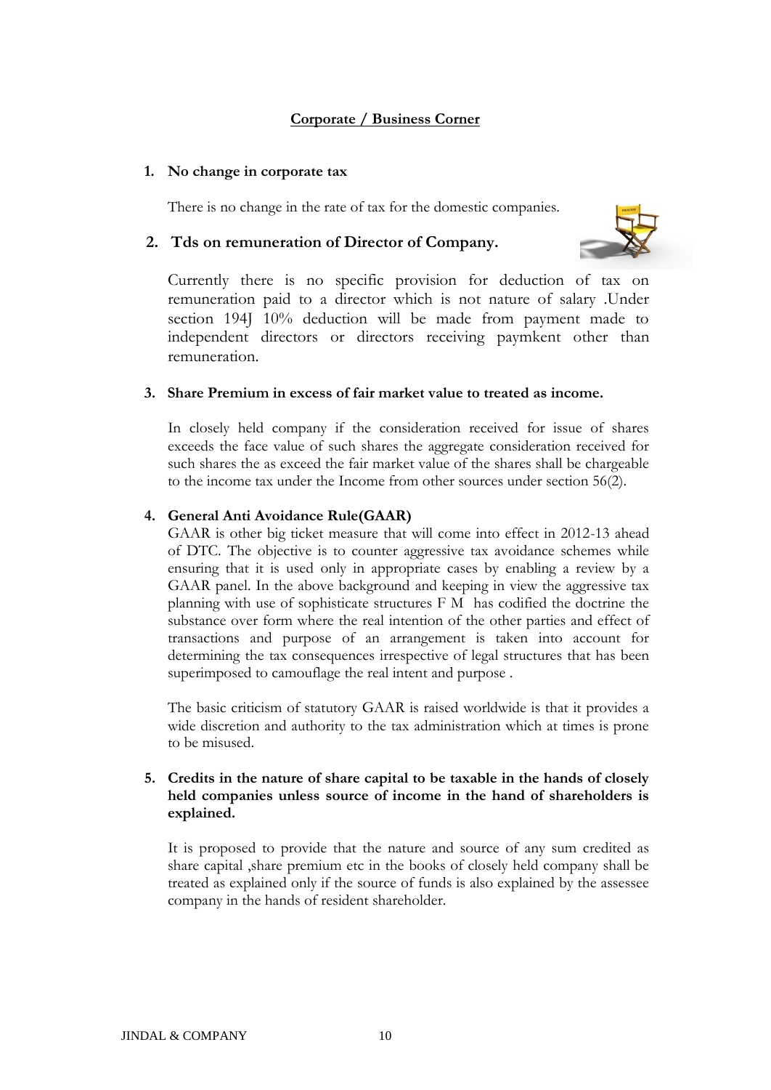#### **Corporate / Business Corner**

#### **1. No change in corporate tax**

There is no change in the rate of tax for the domestic companies.

#### **2. Tds on remuneration of Director of Company.**



Currently there is no specific provision for deduction of tax on remuneration paid to a director which is not nature of salary .Under section 194J 10% deduction will be made from payment made to independent directors or directors receiving paymkent other than remuneration.

#### **3. Share Premium in excess of fair market value to treated as income.**

In closely held company if the consideration received for issue of shares exceeds the face value of such shares the aggregate consideration received for such shares the as exceed the fair market value of the shares shall be chargeable to the income tax under the Income from other sources under section 56(2).

#### **4. General Anti Avoidance Rule(GAAR)**

GAAR is other big ticket measure that will come into effect in 2012-13 ahead of DTC. The objective is to counter aggressive tax avoidance schemes while ensuring that it is used only in appropriate cases by enabling a review by a GAAR panel. In the above background and keeping in view the aggressive tax planning with use of sophisticate structures F M has codified the doctrine the substance over form where the real intention of the other parties and effect of transactions and purpose of an arrangement is taken into account for determining the tax consequences irrespective of legal structures that has been superimposed to camouflage the real intent and purpose .

The basic criticism of statutory GAAR is raised worldwide is that it provides a wide discretion and authority to the tax administration which at times is prone to be misused.

#### **5. Credits in the nature of share capital to be taxable in the hands of closely held companies unless source of income in the hand of shareholders is explained.**

It is proposed to provide that the nature and source of any sum credited as share capital ,share premium etc in the books of closely held company shall be treated as explained only if the source of funds is also explained by the assessee company in the hands of resident shareholder.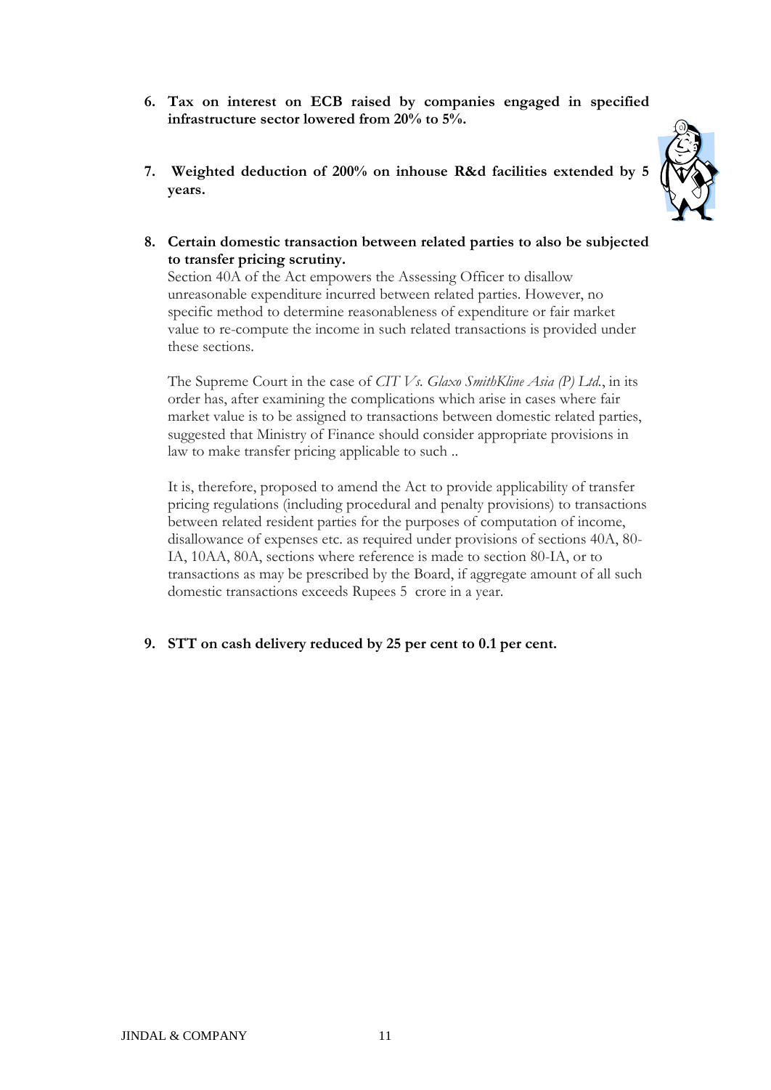- **6. Tax on interest on ECB raised by companies engaged in specified infrastructure sector lowered from 20% to 5%.**
- **7. Weighted deduction of 200% on inhouse R&d facilities extended by 5 years.**



**8. Certain domestic transaction between related parties to also be subjected to transfer pricing scrutiny.**

Section 40A of the Act empowers the Assessing Officer to disallow unreasonable expenditure incurred between related parties. However, no specific method to determine reasonableness of expenditure or fair market value to re-compute the income in such related transactions is provided under these sections.

The Supreme Court in the case of *CIT Vs. Glaxo SmithKline Asia (P) Ltd.*, in its order has, after examining the complications which arise in cases where fair market value is to be assigned to transactions between domestic related parties, suggested that Ministry of Finance should consider appropriate provisions in law to make transfer pricing applicable to such ..

It is, therefore, proposed to amend the Act to provide applicability of transfer pricing regulations (including procedural and penalty provisions) to transactions between related resident parties for the purposes of computation of income, disallowance of expenses etc. as required under provisions of sections 40A, 80- IA, 10AA, 80A, sections where reference is made to section 80-IA, or to transactions as may be prescribed by the Board, if aggregate amount of all such domestic transactions exceeds Rupees 5 crore in a year.

**9. STT on cash delivery reduced by 25 per cent to 0.1 per cent.**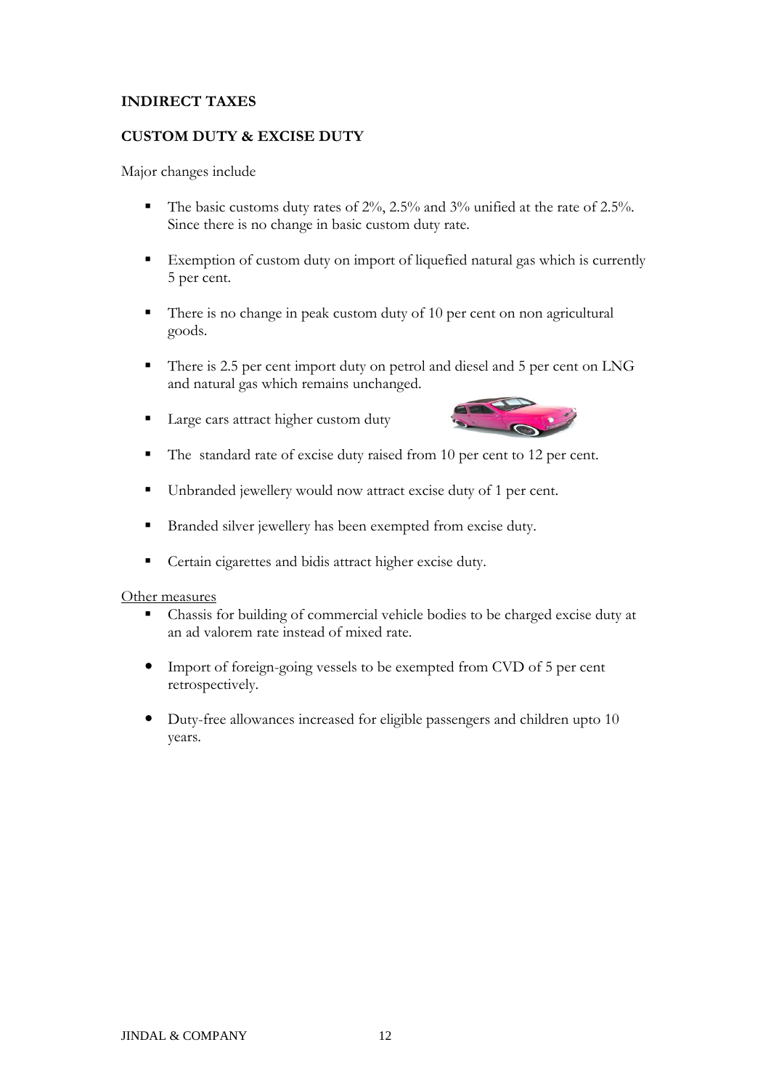#### **INDIRECT TAXES**

#### **CUSTOM DUTY & EXCISE DUTY**

Major changes include

- The basic customs duty rates of  $2\%$ ,  $2.5\%$  and  $3\%$  unified at the rate of  $2.5\%$ . Since there is no change in basic custom duty rate.
- Exemption of custom duty on import of liquefied natural gas which is currently 5 per cent.
- There is no change in peak custom duty of 10 per cent on non agricultural goods.
- There is 2.5 per cent import duty on petrol and diesel and 5 per cent on LNG and natural gas which remains unchanged.
- Large cars attract higher custom duty



- The standard rate of excise duty raised from 10 per cent to 12 per cent.
- Unbranded jewellery would now attract excise duty of 1 per cent.
- Branded silver jewellery has been exempted from excise duty.
- **Certain cigarettes and bidis attract higher excise duty.**

#### Other measures

- Chassis for building of commercial vehicle bodies to be charged excise duty at an ad valorem rate instead of mixed rate.
- Import of foreign-going vessels to be exempted from CVD of 5 per cent retrospectively.
- Duty-free allowances increased for eligible passengers and children upto 10 years.